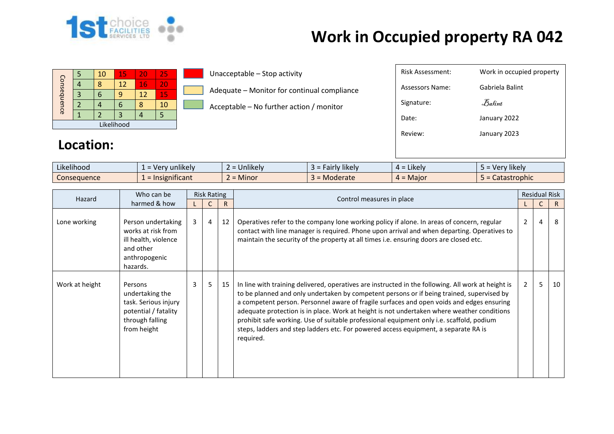

| Consequence |            | 10 | 15 | 20 | 25 |  |  |  |  |  |  |  |
|-------------|------------|----|----|----|----|--|--|--|--|--|--|--|
|             |            | 8  | 12 | 16 | 20 |  |  |  |  |  |  |  |
|             |            |    | q  | 12 | 15 |  |  |  |  |  |  |  |
|             |            |    | 6  |    | 10 |  |  |  |  |  |  |  |
|             |            |    |    |    |    |  |  |  |  |  |  |  |
|             | Likelihood |    |    |    |    |  |  |  |  |  |  |  |

Unacceptable – Stop activity

Adequate – Monitor for continual compliance

Acceptable – No further action / monitor

| Risk Assessment: | Work in occupied property |
|------------------|---------------------------|
| Assessors Name:  | Gabriela Balint           |
| Signature:       | $\mathcal{B}$ alint       |
| Date:            | January 2022              |
| Review:          | January 2023              |
|                  |                           |

#### **Location:**

| $\cdots$<br>$\cdots$<br>Likelihood | <b>unlikely</b><br>$V^{\alpha}$ | $\cdots$<br>$\sim$<br><b>Jnlikely</b> | Fairly likely<br>-- | $\cdots$<br>$4 =$ Likely | Verv likelv                    |
|------------------------------------|---------------------------------|---------------------------------------|---------------------|--------------------------|--------------------------------|
| Consequence                        | $\epsilon$ = Insignificant      | .<br>$\sim$<br><b>Minor</b>           | Moderate            | = Maior<br>$\mathbf{H}$  | rophic <sup>1</sup><br>CdldSll |

| Who can be<br>Hazard |                                                                                                              | <b>Risk Rating</b> |                |              |                                                                                                                                                                                                                                                                                                                                                                                                                                                                                                                                                                                            | <b>Residual Risk</b> |   |    |
|----------------------|--------------------------------------------------------------------------------------------------------------|--------------------|----------------|--------------|--------------------------------------------------------------------------------------------------------------------------------------------------------------------------------------------------------------------------------------------------------------------------------------------------------------------------------------------------------------------------------------------------------------------------------------------------------------------------------------------------------------------------------------------------------------------------------------------|----------------------|---|----|
|                      | harmed & how                                                                                                 |                    |                | $\mathsf{R}$ | Control measures in place                                                                                                                                                                                                                                                                                                                                                                                                                                                                                                                                                                  |                      |   | R. |
| Lone working         | Person undertaking<br>works at risk from<br>ill health, violence<br>and other<br>anthropogenic<br>hazards.   | $\mathbf{3}$       | $\overline{4}$ | 12           | Operatives refer to the company lone working policy if alone. In areas of concern, regular<br>contact with line manager is required. Phone upon arrival and when departing. Operatives to<br>maintain the security of the property at all times i.e. ensuring doors are closed etc.                                                                                                                                                                                                                                                                                                        | $\overline{2}$       | 4 | 8  |
| Work at height       | Persons<br>undertaking the<br>task. Serious injury<br>potential / fatality<br>through falling<br>from height | 3                  | 5              | 15           | In line with training delivered, operatives are instructed in the following. All work at height is<br>to be planned and only undertaken by competent persons or if being trained, supervised by<br>a competent person. Personnel aware of fragile surfaces and open voids and edges ensuring<br>adequate protection is in place. Work at height is not undertaken where weather conditions<br>prohibit safe working. Use of suitable professional equipment only i.e. scaffold, podium<br>steps, ladders and step ladders etc. For powered access equipment, a separate RA is<br>required. | $2^{\circ}$          | 5 | 10 |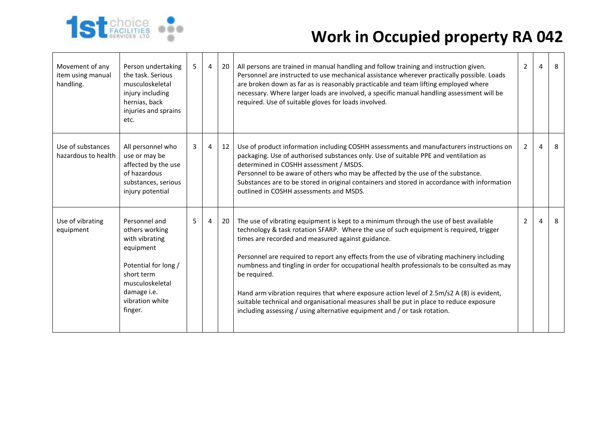

| Movement of any<br>item using manual<br>handling. | Person undertaking<br>the task. Serious<br>musculoskeletal<br>injury including<br>hernias, back<br>injuries and sprains<br>etc.                                      | 5 | $\overline{4}$ | 20 | All persons are trained in manual handling and follow training and instruction given.<br>Personnel are instructed to use mechanical assistance wherever practically possible. Loads<br>are broken down as far as is reasonably practicable and team lifting employed where<br>necessary. Where larger loads are involved, a specific manual handling assessment will be<br>required. Use of suitable gloves for loads involved.                                                                                                                                                                                                                                                                                        | $\overline{2}$ | 4 | 8 |
|---------------------------------------------------|----------------------------------------------------------------------------------------------------------------------------------------------------------------------|---|----------------|----|------------------------------------------------------------------------------------------------------------------------------------------------------------------------------------------------------------------------------------------------------------------------------------------------------------------------------------------------------------------------------------------------------------------------------------------------------------------------------------------------------------------------------------------------------------------------------------------------------------------------------------------------------------------------------------------------------------------------|----------------|---|---|
| Use of substances<br>hazardous to health          | All personnel who<br>use or may be<br>affected by the use<br>of hazardous<br>substances, serious<br>injury potential                                                 | 3 | $\overline{4}$ | 12 | Use of product information including COSHH assessments and manufacturers instructions on<br>packaging. Use of authorised substances only. Use of suitable PPE and ventilation as<br>determined in COSHH assessment / MSDS.<br>Personnel to be aware of others who may be affected by the use of the substance.<br>Substances are to be stored in original containers and stored in accordance with information<br>outlined in COSHH assessments and MSDS.                                                                                                                                                                                                                                                              | $2^{\circ}$    | 4 | 8 |
| Use of vibrating<br>equipment                     | Personnel and<br>others working<br>with vibrating<br>equipment<br>Potential for long /<br>short term<br>musculoskeletal<br>damage i.e.<br>vibration white<br>finger. | 5 | $\overline{4}$ | 20 | The use of vibrating equipment is kept to a minimum through the use of best available<br>technology & task rotation SFARP. Where the use of such equipment is required, trigger<br>times are recorded and measured against guidance.<br>Personnel are required to report any effects from the use of vibrating machinery including<br>numbness and tingling in order for occupational health professionals to be consulted as may<br>be required.<br>Hand arm vibration requires that where exposure action level of 2.5m/s2 A (8) is evident,<br>suitable technical and organisational measures shall be put in place to reduce exposure<br>including assessing / using alternative equipment and / or task rotation. | $2^{\circ}$    | 4 | 8 |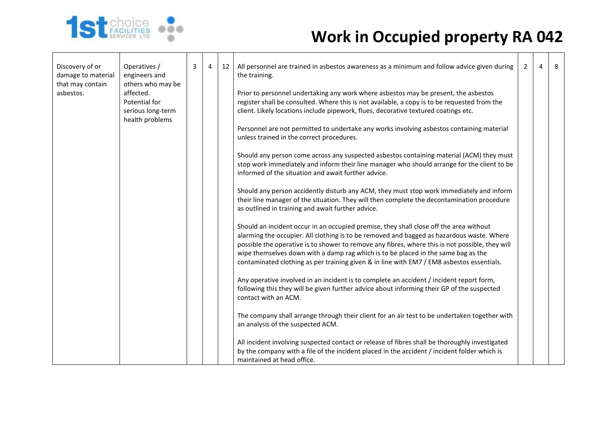

| Discovery of or<br>damage to material | Operatives /<br>engineers and                                                           | 3 | 4 | 12 | All personnel are trained in asbestos awareness as a minimum and follow advice given during<br>the training.                                                                                                                                                                                                                                                                                                                                                                                                                                                                                                                                                                                                                                                                                                                                                                          | $\overline{2}$ | 4 | 8 |
|---------------------------------------|-----------------------------------------------------------------------------------------|---|---|----|---------------------------------------------------------------------------------------------------------------------------------------------------------------------------------------------------------------------------------------------------------------------------------------------------------------------------------------------------------------------------------------------------------------------------------------------------------------------------------------------------------------------------------------------------------------------------------------------------------------------------------------------------------------------------------------------------------------------------------------------------------------------------------------------------------------------------------------------------------------------------------------|----------------|---|---|
| that may contain<br>asbestos.         | others who may be<br>affected.<br>Potential for<br>serious long-term<br>health problems |   |   |    | Prior to personnel undertaking any work where asbestos may be present, the asbestos<br>register shall be consulted. Where this is not available, a copy is to be requested from the<br>client. Likely locations include pipework, flues, decorative textured coatings etc.<br>Personnel are not permitted to undertake any works involving asbestos containing material<br>unless trained in the correct procedures.<br>Should any person come across any suspected asbestos containing material (ACM) they must<br>stop work immediately and inform their line manager who should arrange for the client to be<br>informed of the situation and await further advice.<br>Should any person accidently disturb any ACM, they must stop work immediately and inform<br>their line manager of the situation. They will then complete the decontamination procedure                      |                |   |   |
|                                       |                                                                                         |   |   |    | as outlined in training and await further advice.<br>Should an incident occur in an occupied premise, they shall close off the area without<br>alarming the occupier. All clothing is to be removed and bagged as hazardous waste. Where<br>possible the operative is to shower to remove any fibres, where this is not possible, they will<br>wipe themselves down with a damp rag which is to be placed in the same bag as the<br>contaminated clothing as per training given & in line with EM7 / EM8 asbestos essentials.<br>Any operative involved in an incident is to complete an accident / incident report form,<br>following this they will be given further advice about informing their GP of the suspected<br>contact with an ACM.<br>The company shall arrange through their client for an air test to be undertaken together with<br>an analysis of the suspected ACM. |                |   |   |
|                                       |                                                                                         |   |   |    | All incident involving suspected contact or release of fibres shall be thoroughly investigated<br>by the company with a file of the incident placed in the accident / incident folder which is<br>maintained at head office.                                                                                                                                                                                                                                                                                                                                                                                                                                                                                                                                                                                                                                                          |                |   |   |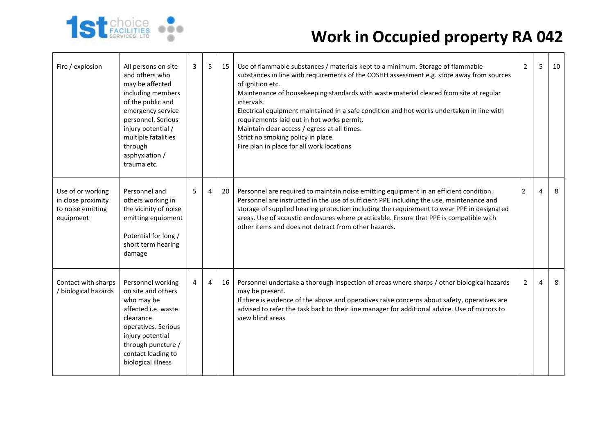

| Fire / explosion                                                          | All persons on site<br>and others who<br>may be affected<br>including members<br>of the public and<br>emergency service<br>personnel. Serious<br>injury potential /<br>multiple fatalities<br>through<br>asphyxiation /<br>trauma etc. | 3 | 5 | 15 | Use of flammable substances / materials kept to a minimum. Storage of flammable<br>substances in line with requirements of the COSHH assessment e.g. store away from sources<br>of ignition etc.<br>Maintenance of housekeeping standards with waste material cleared from site at regular<br>intervals.<br>Electrical equipment maintained in a safe condition and hot works undertaken in line with<br>requirements laid out in hot works permit.<br>Maintain clear access / egress at all times.<br>Strict no smoking policy in place.<br>Fire plan in place for all work locations | $\overline{2}$ | 5              | 10 |
|---------------------------------------------------------------------------|----------------------------------------------------------------------------------------------------------------------------------------------------------------------------------------------------------------------------------------|---|---|----|----------------------------------------------------------------------------------------------------------------------------------------------------------------------------------------------------------------------------------------------------------------------------------------------------------------------------------------------------------------------------------------------------------------------------------------------------------------------------------------------------------------------------------------------------------------------------------------|----------------|----------------|----|
| Use of or working<br>in close proximity<br>to noise emitting<br>equipment | Personnel and<br>others working in<br>the vicinity of noise<br>emitting equipment<br>Potential for long /<br>short term hearing<br>damage                                                                                              | 5 | 4 | 20 | Personnel are required to maintain noise emitting equipment in an efficient condition.<br>Personnel are instructed in the use of sufficient PPE including the use, maintenance and<br>storage of supplied hearing protection including the requirement to wear PPE in designated<br>areas. Use of acoustic enclosures where practicable. Ensure that PPE is compatible with<br>other items and does not detract from other hazards.                                                                                                                                                    | $\overline{2}$ | $\overline{a}$ | 8  |
| Contact with sharps<br>biological hazards                                 | Personnel working<br>on site and others<br>who may be<br>affected i.e. waste<br>clearance<br>operatives. Serious<br>injury potential<br>through puncture /<br>contact leading to<br>biological illness                                 | 4 | 4 | 16 | Personnel undertake a thorough inspection of areas where sharps / other biological hazards<br>may be present.<br>If there is evidence of the above and operatives raise concerns about safety, operatives are<br>advised to refer the task back to their line manager for additional advice. Use of mirrors to<br>view blind areas                                                                                                                                                                                                                                                     | $\overline{2}$ | $\overline{4}$ | 8  |

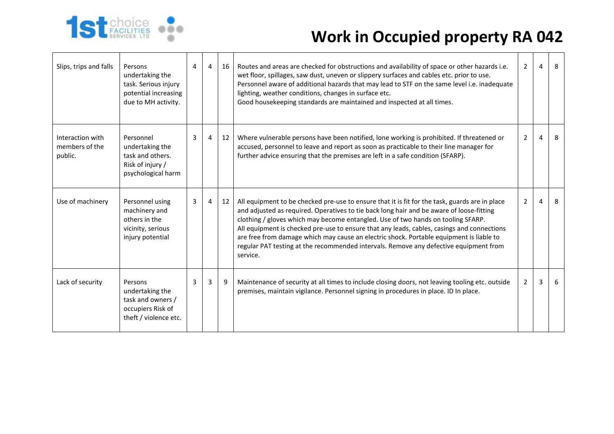

| Slips, trips and falls                        | Persons<br>undertaking the<br>task. Serious injury<br>potential increasing<br>due to MH activity. | 4 | $\overline{4}$ | 16 | Routes and areas are checked for obstructions and availability of space or other hazards i.e.<br>wet floor, spillages, saw dust, uneven or slippery surfaces and cables etc. prior to use.<br>Personnel aware of additional hazards that may lead to STF on the same level i.e. inadequate<br>lighting, weather conditions, changes in surface etc.<br>Good housekeeping standards are maintained and inspected at all times.                                                                                                                                                | $\overline{2}$ | $\overline{4}$ | 8 |
|-----------------------------------------------|---------------------------------------------------------------------------------------------------|---|----------------|----|------------------------------------------------------------------------------------------------------------------------------------------------------------------------------------------------------------------------------------------------------------------------------------------------------------------------------------------------------------------------------------------------------------------------------------------------------------------------------------------------------------------------------------------------------------------------------|----------------|----------------|---|
| Interaction with<br>members of the<br>public. | Personnel<br>undertaking the<br>task and others.<br>Risk of injury /<br>psychological harm        | 3 | $\overline{4}$ | 12 | Where vulnerable persons have been notified, lone working is prohibited. If threatened or<br>accused, personnel to leave and report as soon as practicable to their line manager for<br>further advice ensuring that the premises are left in a safe condition (SFARP).                                                                                                                                                                                                                                                                                                      | $\overline{2}$ | $\overline{4}$ | 8 |
| Use of machinery                              | Personnel using<br>machinery and<br>others in the<br>vicinity, serious<br>injury potential        | 3 | $\overline{4}$ | 12 | All equipment to be checked pre-use to ensure that it is fit for the task, guards are in place<br>and adjusted as required. Operatives to tie back long hair and be aware of loose-fitting<br>clothing / gloves which may become entangled. Use of two hands on tooling SFARP.<br>All equipment is checked pre-use to ensure that any leads, cables, casings and connections<br>are free from damage which may cause an electric shock. Portable equipment is liable to<br>regular PAT testing at the recommended intervals. Remove any defective equipment from<br>service. | $\overline{2}$ | $\overline{4}$ | 8 |
| Lack of security                              | Persons<br>undertaking the<br>task and owners /<br>occupiers Risk of<br>theft / violence etc.     | 3 | 3              | 9  | Maintenance of security at all times to include closing doors, not leaving tooling etc. outside<br>premises, maintain vigilance. Personnel signing in procedures in place. ID In place.                                                                                                                                                                                                                                                                                                                                                                                      | 2              | 3              | 6 |